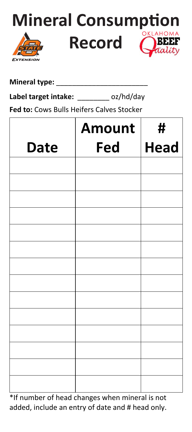

## **Mineral type:** \_\_\_\_\_\_\_\_\_\_\_\_\_\_\_\_\_\_\_\_\_\_\_

Label target intake: oz/hd/day

**Fed to:** Cows Bulls Heifers Calves Stocker

|             | <b>Amount</b> | #           |
|-------------|---------------|-------------|
| <b>Date</b> | Fed           | <b>Head</b> |
|             |               |             |
|             |               |             |
|             |               |             |
|             |               |             |
|             |               |             |
|             |               |             |
|             |               |             |
|             |               |             |
|             |               |             |
|             |               |             |
|             |               |             |
|             |               |             |
|             |               |             |
|             |               |             |

\*If number of head changes when mineral is not added, include an entry of date and # head only.